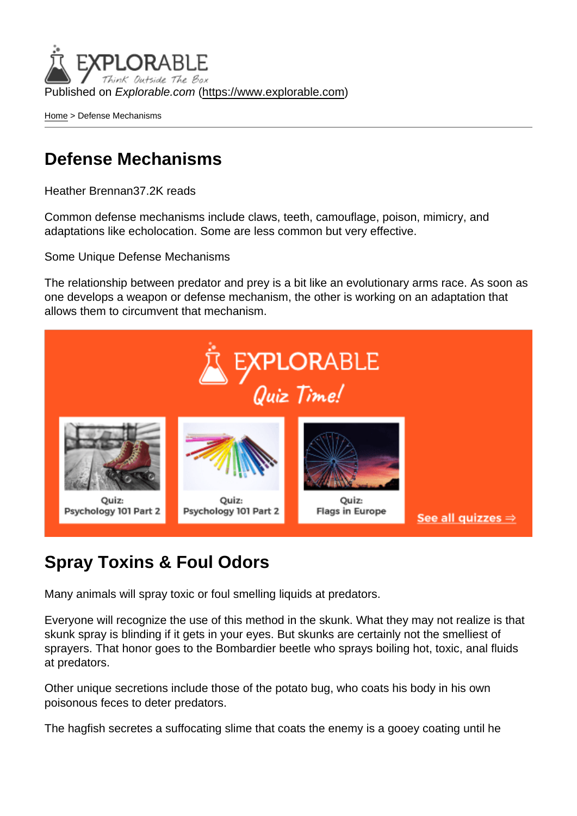Published on Explorable.com (<https://www.explorable.com>)

[Home](https://www.explorable.com/) > Defense Mechanisms

#### Defense Mechanisms

Heather Brennan37.2K reads

Common defense mechanisms include claws, teeth, camouflage, poison, mimicry, and adaptations like echolocation. Some are less common but very effective.

Some Unique Defense Mechanisms

The relationship between predator and prey is a bit like an evolutionary arms race. As soon as one develops a weapon or defense mechanism, the other is working on an adaptation that allows them to circumvent that mechanism.

#### Spray Toxins & Foul Odors

Many animals will spray toxic or foul smelling liquids at predators.

Everyone will recognize the use of this method in the skunk. What they may not realize is that skunk spray is blinding if it gets in your eyes. But skunks are certainly not the smelliest of sprayers. That honor goes to the Bombardier beetle who sprays boiling hot, toxic, anal fluids at predators.

Other unique secretions include those of the potato bug, who coats his body in his own poisonous feces to deter predators.

The hagfish secretes a suffocating slime that coats the enemy is a gooey coating until he